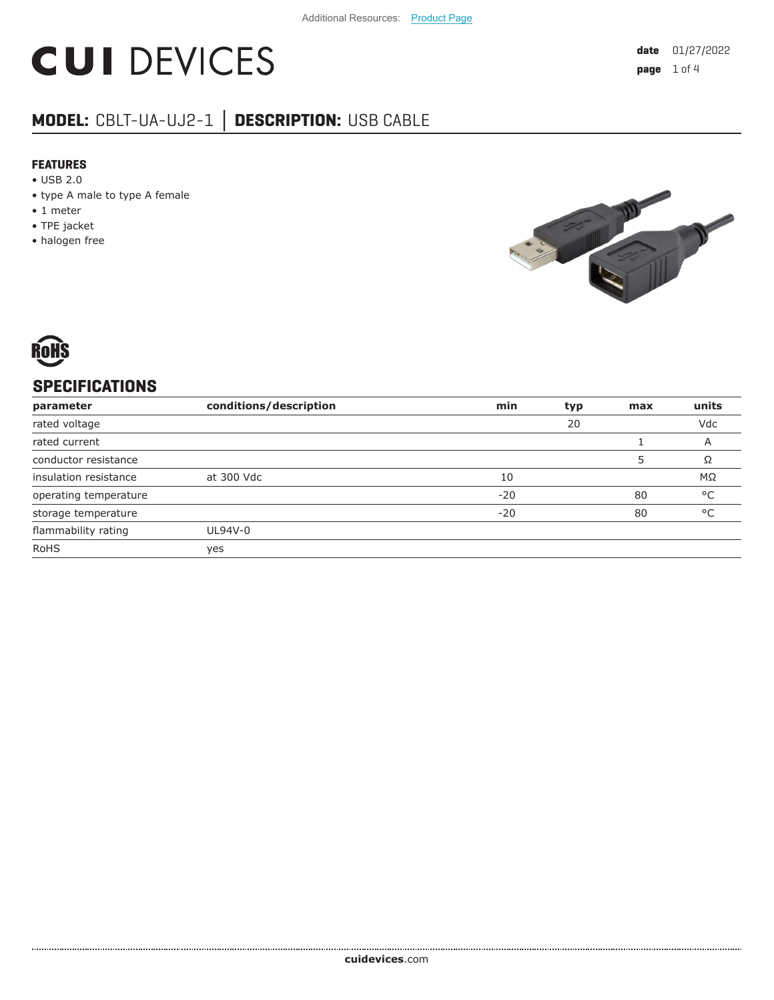# **CUI DEVICES**

# **MODEL:** CBLT-UA-UJ2-1 **│ DESCRIPTION:** USB CABLE

#### **FEATURES**

- USB 2.0
- type A male to type A female
- 1 meter
- TPE jacket
- halogen free





## **SPECIFICATIONS**

| parameter             | conditions/description | min   | typ | max | units        |
|-----------------------|------------------------|-------|-----|-----|--------------|
| rated voltage         |                        |       | 20  |     | Vdc          |
| rated current         |                        |       |     |     | A            |
| conductor resistance  |                        |       |     |     | Ω            |
| insulation resistance | at 300 Vdc             | 10    |     |     | ΜΩ           |
| operating temperature |                        | $-20$ |     | 80  | °C           |
| storage temperature   |                        | $-20$ |     | 80  | $^{\circ}$ C |
| flammability rating   | UL94V-0                |       |     |     |              |
| <b>RoHS</b>           | yes                    |       |     |     |              |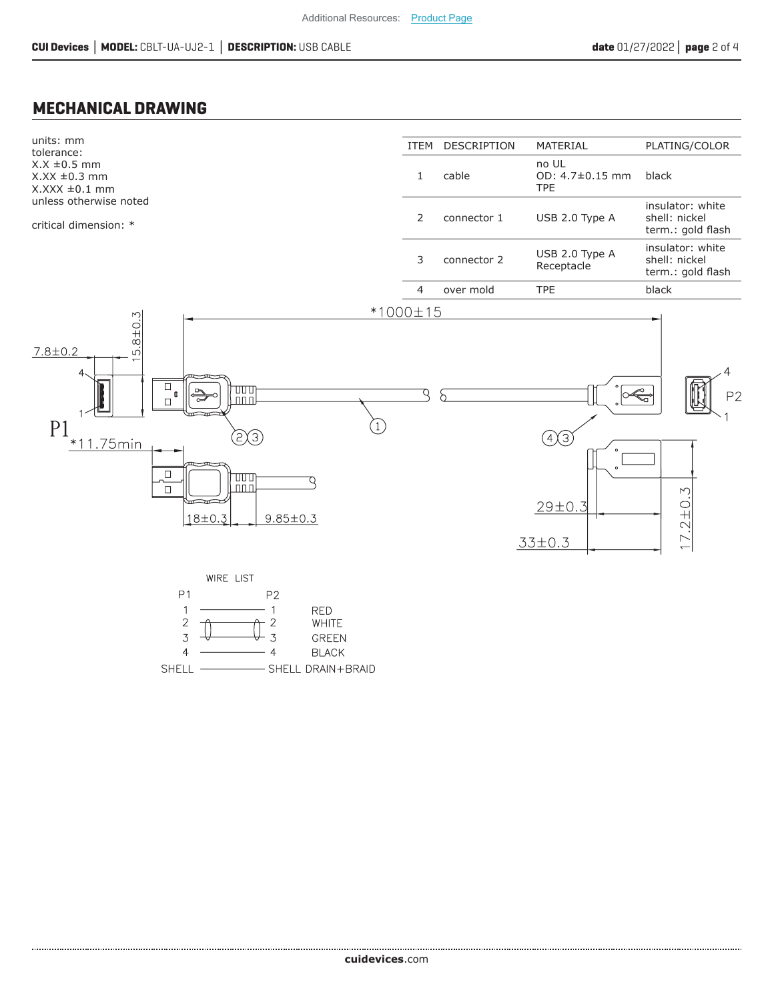#### **MECHANICAL DRAWING**



- SHELL DRAIN+BRAID **SHELL**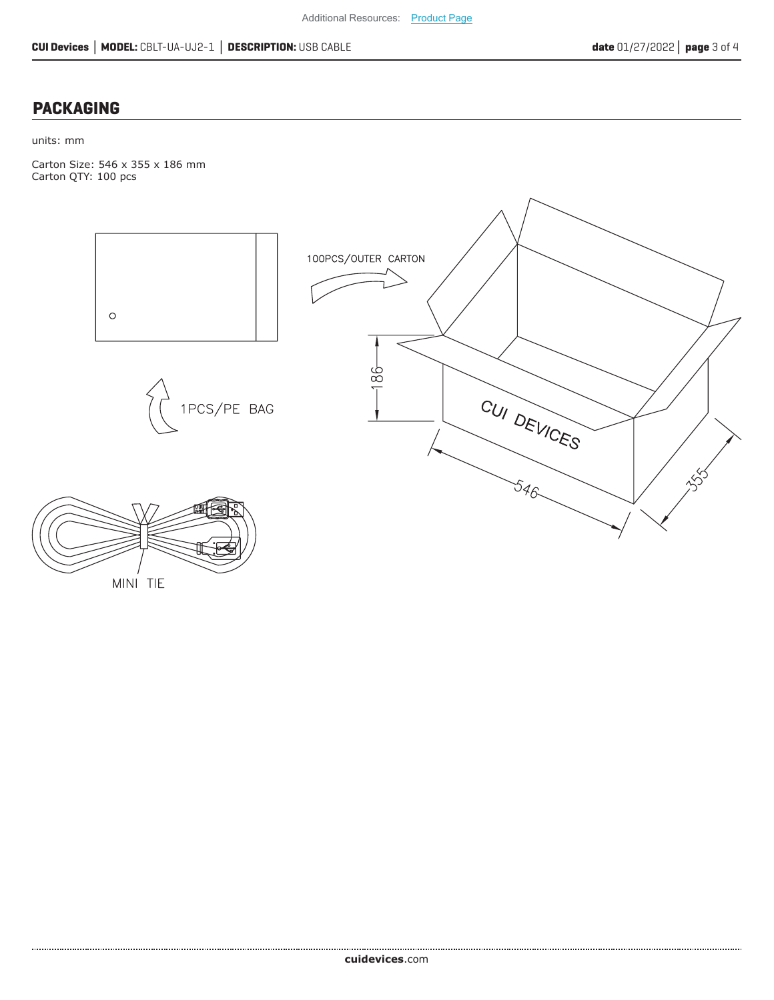### **PACKAGING**

units: mm

Carton Size: 546 x 355 x 186 mm Carton QTY: 100 pcs



MINI TIE